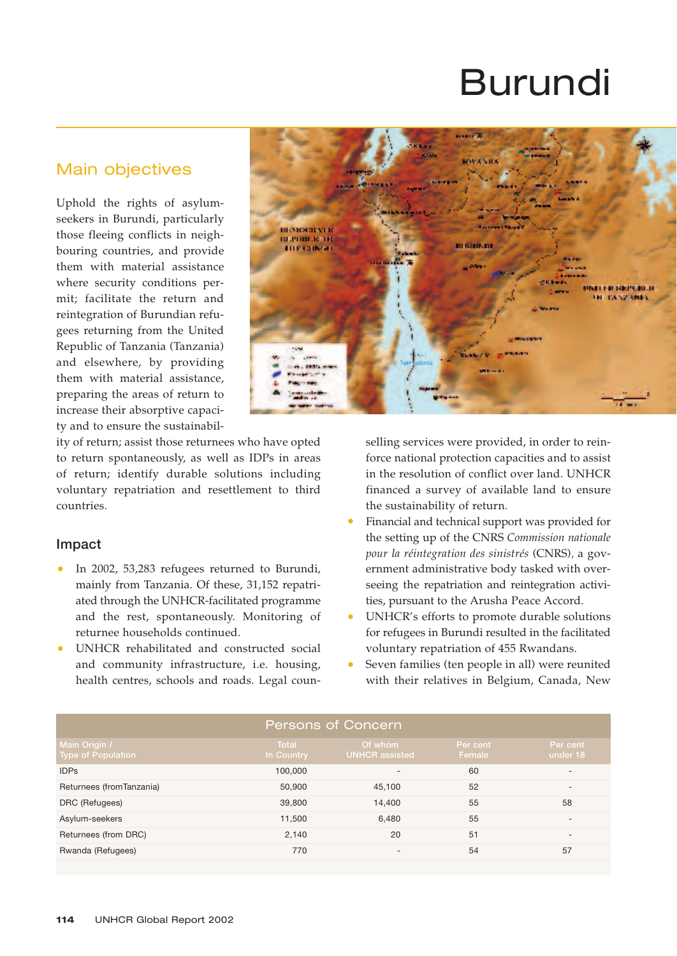# Burundi

## Main objectives

Uphold the rights of asylumseekers in Burundi, particularly those fleeing conflicts in neighbouring countries, and provide them with material assistance where security conditions permit; facilitate the return and reintegration of Burundian refugees returning from the United Republic of Tanzania (Tanzania) and elsewhere, by providing them with material assistance, preparing the areas of return to increase their absorptive capacity and to ensure the sustainabil-



ity of return; assist those returnees who have opted to return spontaneously, as well as IDPs in areas of return; identify durable solutions including voluntary repatriation and resettlement to third countries.

#### **Impact**

- In 2002, 53,283 refugees returned to Burundi, mainly from Tanzania. Of these, 31,152 repatriated through the UNHCR-facilitated programme and the rest, spontaneously. Monitoring of returnee households continued.
- UNHCR rehabilitated and constructed social and community infrastructure, i.e. housing, health centres, schools and roads. Legal coun-

selling services were provided, in order to reinforce national protection capacities and to assist in the resolution of conflict over land. UNHCR financed a survey of available land to ensure the sustainability of return.

- Financial and technical support was provided for the setting up of the CNRS *Commission nationale pour la réintegration des sinistrés* (CNRS)*,* a government administrative body tasked with overseeing the repatriation and reintegration activities, pursuant to the Arusha Peace Accord.
- UNHCR's efforts to promote durable solutions for refugees in Burundi resulted in the facilitated voluntary repatriation of 455 Rwandans.
- Seven families (ten people in all) were reunited with their relatives in Belgium, Canada, New

| <b>Persons of Concern</b>                  |                            |                                  |                    |                          |  |  |  |
|--------------------------------------------|----------------------------|----------------------------------|--------------------|--------------------------|--|--|--|
| Main Origin /<br><b>Type of Population</b> | <b>Total</b><br>In Country | Of whom<br><b>UNHCR</b> assisted | Per cent<br>Female | Per cent<br>under 18     |  |  |  |
| <b>IDPs</b>                                | 100,000                    | $\qquad \qquad$                  | 60                 | $\overline{\phantom{0}}$ |  |  |  |
| Returnees (fromTanzania)                   | 50,900                     | 45,100                           | 52                 | $\qquad \qquad -$        |  |  |  |
| DRC (Refugees)                             | 39,800                     | 14.400                           | 55                 | 58                       |  |  |  |
| Asylum-seekers                             | 11,500                     | 6,480                            | 55                 | $\overline{\phantom{0}}$ |  |  |  |
| Returnees (from DRC)                       | 2,140                      | 20                               | 51                 | $\qquad \qquad -$        |  |  |  |
| Rwanda (Refugees)                          | 770                        | $\overline{\phantom{0}}$         | 54                 | 57                       |  |  |  |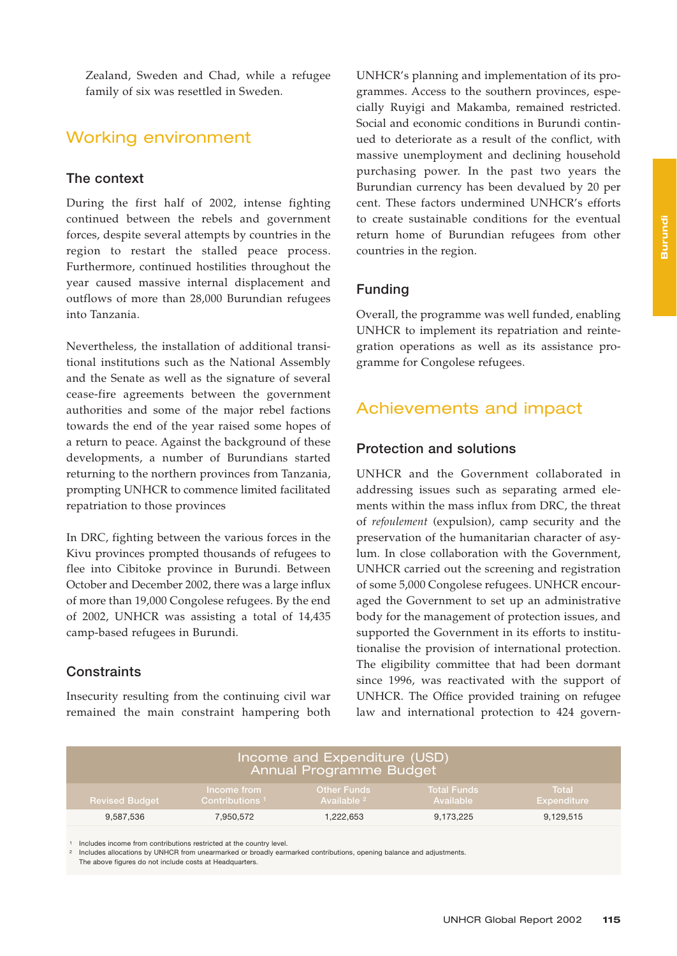Zealand, Sweden and Chad, while a refugee family of six was resettled in Sweden.

## Working environment

#### **The context**

During the first half of 2002, intense fighting continued between the rebels and government forces, despite several attempts by countries in the region to restart the stalled peace process. Furthermore, continued hostilities throughout the year caused massive internal displacement and outflows of more than 28,000 Burundian refugees into Tanzania.

Nevertheless, the installation of additional transitional institutions such as the National Assembly and the Senate as well as the signature of several cease-fire agreements between the government authorities and some of the major rebel factions towards the end of the year raised some hopes of a return to peace. Against the background of these developments, a number of Burundians started returning to the northern provinces from Tanzania, prompting UNHCR to commence limited facilitated repatriation to those provinces

In DRC, fighting between the various forces in the Kivu provinces prompted thousands of refugees to flee into Cibitoke province in Burundi. Between October and December 2002, there was a large influx of more than 19,000 Congolese refugees. By the end of 2002, UNHCR was assisting a total of 14,435 camp-based refugees in Burundi.

#### **Constraints**

Insecurity resulting from the continuing civil war remained the main constraint hampering both

UNHCR's planning and implementation of its programmes. Access to the southern provinces, especially Ruyigi and Makamba, remained restricted. Social and economic conditions in Burundi continued to deteriorate as a result of the conflict, with massive unemployment and declining household purchasing power. In the past two years the Burundian currency has been devalued by 20 per cent. These factors undermined UNHCR's efforts to create sustainable conditions for the eventual return home of Burundian refugees from other countries in the region.

#### **Funding**

Overall, the programme was well funded, enabling UNHCR to implement its repatriation and reintegration operations as well as its assistance programme for Congolese refugees.

## Achievements and impact

#### **Protection and solutions**

UNHCR and the Government collaborated in addressing issues such as separating armed elements within the mass influx from DRC, the threat of *refoulement* (expulsion), camp security and the preservation of the humanitarian character of asylum. In close collaboration with the Government, UNHCR carried out the screening and registration of some 5,000 Congolese refugees. UNHCR encouraged the Government to set up an administrative body for the management of protection issues, and supported the Government in its efforts to institutionalise the provision of international protection. The eligibility committee that had been dormant since 1996, was reactivated with the support of UNHCR. The Office provided training on refugee law and international protection to 424 govern-

| Income and Expenditure (USD)<br>Annual Programme Budget |                                           |                                       |                                 |                             |  |  |  |
|---------------------------------------------------------|-------------------------------------------|---------------------------------------|---------------------------------|-----------------------------|--|--|--|
| <b>Revised Budget</b>                                   | Income from<br>Contributions <sup>1</sup> | Other Funds<br>Available <sup>2</sup> | <b>Total Funds</b><br>Available | Total<br><b>Expenditure</b> |  |  |  |
| 9.587.536                                               | 7.950.572                                 | 1,222,653                             | 9,173,225                       | 9,129,515                   |  |  |  |

<sup>1</sup> Includes income from contributions restricted at the country level.

<sup>2</sup> Includes allocations by UNHCR from unearmarked or broadly earmarked contributions, opening balance and adjustments.

The above figures do not include costs at Headquarters.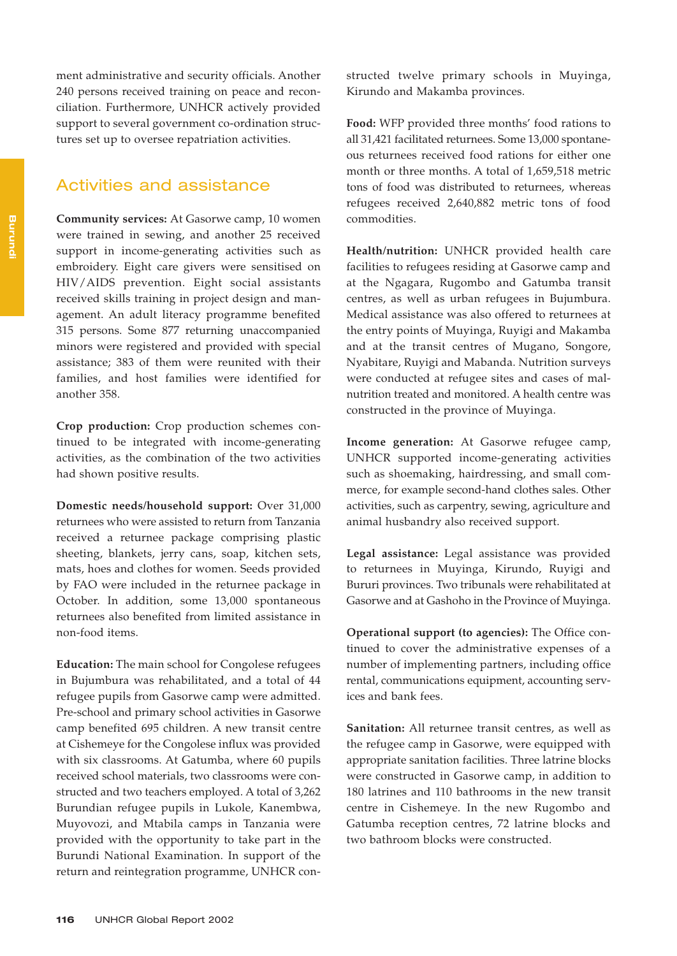ment administrative and security officials. Another 240 persons received training on peace and reconciliation. Furthermore, UNHCR actively provided support to several government co-ordination structures set up to oversee repatriation activities.

## Activities and assistance

**Community services:** At Gasorwe camp, 10 women were trained in sewing, and another 25 received support in income-generating activities such as embroidery. Eight care givers were sensitised on HIV/AIDS prevention. Eight social assistants received skills training in project design and management. An adult literacy programme benefited 315 persons. Some 877 returning unaccompanied minors were registered and provided with special assistance; 383 of them were reunited with their families, and host families were identified for another 358.

**Crop production:** Crop production schemes continued to be integrated with income-generating activities, as the combination of the two activities had shown positive results.

**Domestic needs/household support:** Over 31,000 returnees who were assisted to return from Tanzania received a returnee package comprising plastic sheeting, blankets, jerry cans, soap, kitchen sets, mats, hoes and clothes for women. Seeds provided by FAO were included in the returnee package in October. In addition, some 13,000 spontaneous returnees also benefited from limited assistance in non-food items.

**Education:** The main school for Congolese refugees in Bujumbura was rehabilitated, and a total of 44 refugee pupils from Gasorwe camp were admitted. Pre-school and primary school activities in Gasorwe camp benefited 695 children. A new transit centre at Cishemeye for the Congolese influx was provided with six classrooms. At Gatumba, where 60 pupils received school materials, two classrooms were constructed and two teachers employed. A total of 3,262 Burundian refugee pupils in Lukole, Kanembwa, Muyovozi, and Mtabila camps in Tanzania were provided with the opportunity to take part in the Burundi National Examination. In support of the return and reintegration programme, UNHCR constructed twelve primary schools in Muyinga, Kirundo and Makamba provinces.

**Food:** WFP provided three months' food rations to all 31,421 facilitated returnees. Some 13,000 spontaneous returnees received food rations for either one month or three months. A total of 1,659,518 metric tons of food was distributed to returnees, whereas refugees received 2,640,882 metric tons of food commodities.

**Health/nutrition:** UNHCR provided health care facilities to refugees residing at Gasorwe camp and at the Ngagara, Rugombo and Gatumba transit centres, as well as urban refugees in Bujumbura. Medical assistance was also offered to returnees at the entry points of Muyinga, Ruyigi and Makamba and at the transit centres of Mugano, Songore, Nyabitare, Ruyigi and Mabanda. Nutrition surveys were conducted at refugee sites and cases of malnutrition treated and monitored. A health centre was constructed in the province of Muyinga.

**Income generation:** At Gasorwe refugee camp, UNHCR supported income-generating activities such as shoemaking, hairdressing, and small commerce, for example second-hand clothes sales. Other activities, such as carpentry, sewing, agriculture and animal husbandry also received support.

**Legal assistance:** Legal assistance was provided to returnees in Muyinga, Kirundo, Ruyigi and Bururi provinces. Two tribunals were rehabilitated at Gasorwe and at Gashoho in the Province of Muyinga.

**Operational support (to agencies):** The Office continued to cover the administrative expenses of a number of implementing partners, including office rental, communications equipment, accounting services and bank fees.

**Sanitation:** All returnee transit centres, as well as the refugee camp in Gasorwe, were equipped with appropriate sanitation facilities. Three latrine blocks were constructed in Gasorwe camp, in addition to 180 latrines and 110 bathrooms in the new transit centre in Cishemeye. In the new Rugombo and Gatumba reception centres, 72 latrine blocks and two bathroom blocks were constructed.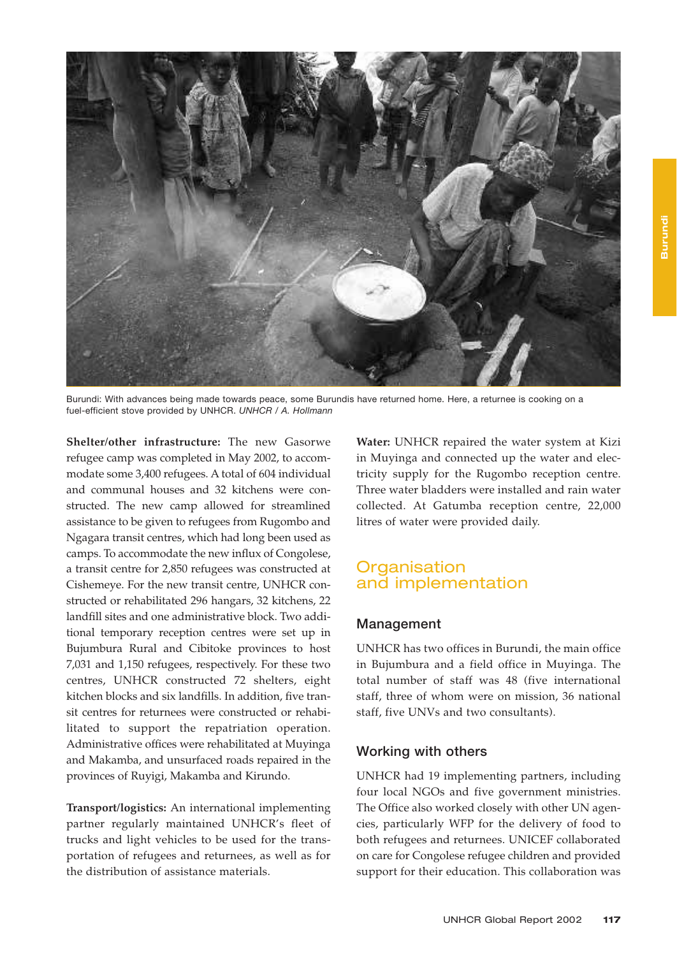

Burundi: With advances being made towards peace, some Burundis have returned home. Here, a returnee is cooking on a fuel-efficient stove provided by UNHCR. *UNHCR / A. Hollmann*

**Shelter/other infrastructure:** The new Gasorwe refugee camp was completed in May 2002, to accommodate some 3,400 refugees. A total of 604 individual and communal houses and 32 kitchens were constructed. The new camp allowed for streamlined assistance to be given to refugees from Rugombo and Ngagara transit centres, which had long been used as camps. To accommodate the new influx of Congolese, a transit centre for 2,850 refugees was constructed at Cishemeye. For the new transit centre, UNHCR constructed or rehabilitated 296 hangars, 32 kitchens, 22 landfill sites and one administrative block. Two additional temporary reception centres were set up in Bujumbura Rural and Cibitoke provinces to host 7,031 and 1,150 refugees, respectively. For these two centres, UNHCR constructed 72 shelters, eight kitchen blocks and six landfills. In addition, five transit centres for returnees were constructed or rehabilitated to support the repatriation operation. Administrative offices were rehabilitated at Muyinga and Makamba, and unsurfaced roads repaired in the provinces of Ruyigi, Makamba and Kirundo.

**Transport/logistics:** An international implementing partner regularly maintained UNHCR's fleet of trucks and light vehicles to be used for the transportation of refugees and returnees, as well as for the distribution of assistance materials.

**Water:** UNHCR repaired the water system at Kizi in Muyinga and connected up the water and electricity supply for the Rugombo reception centre. Three water bladders were installed and rain water collected. At Gatumba reception centre, 22,000 litres of water were provided daily.

## **Organisation** and implementation

#### **Management**

UNHCR has two offices in Burundi, the main office in Bujumbura and a field office in Muyinga. The total number of staff was 48 (five international staff, three of whom were on mission, 36 national staff, five UNVs and two consultants).

#### **Working with others**

UNHCR had 19 implementing partners, including four local NGOs and five government ministries. The Office also worked closely with other UN agencies, particularly WFP for the delivery of food to both refugees and returnees. UNICEF collaborated on care for Congolese refugee children and provided support for their education. This collaboration was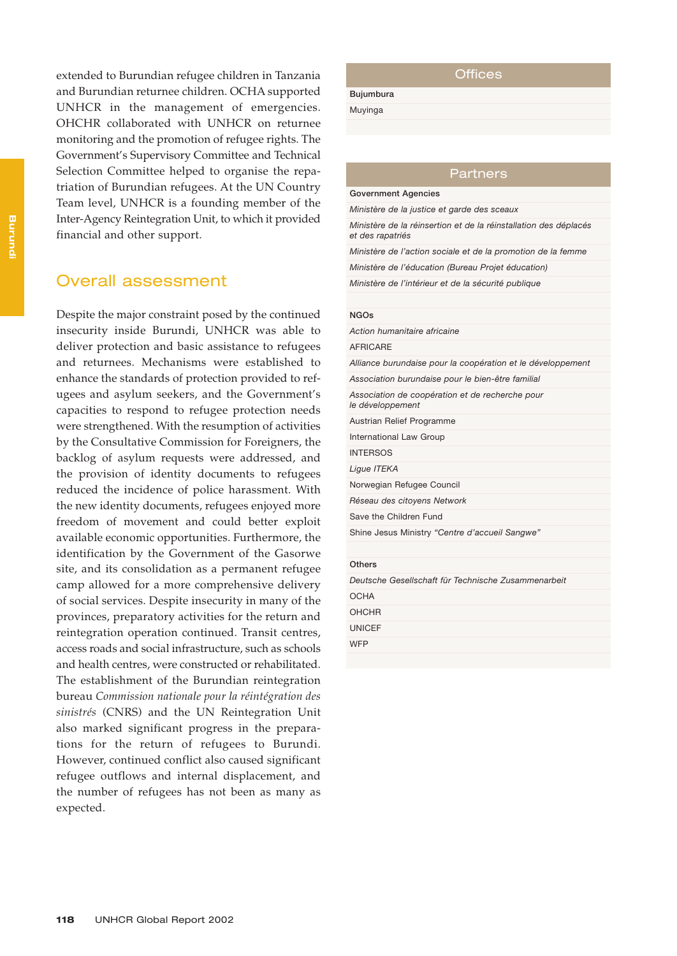extended to Burundian refugee children in Tanzania and Burundian returnee children. OCHA supported UNHCR in the management of emergencies. OHCHR collaborated with UNHCR on returnee monitoring and the promotion of refugee rights. The Government's Supervisory Committee and Technical Selection Committee helped to organise the repatriation of Burundian refugees. At the UN Country Team level, UNHCR is a founding member of the Inter-Agency Reintegration Unit, to which it provided financial and other support.

### Overall assessment

Despite the major constraint posed by the continued insecurity inside Burundi, UNHCR was able to deliver protection and basic assistance to refugees and returnees. Mechanisms were established to enhance the standards of protection provided to refugees and asylum seekers, and the Government's capacities to respond to refugee protection needs were strengthened. With the resumption of activities by the Consultative Commission for Foreigners, the backlog of asylum requests were addressed, and the provision of identity documents to refugees reduced the incidence of police harassment. With the new identity documents, refugees enjoyed more freedom of movement and could better exploit available economic opportunities. Furthermore, the identification by the Government of the Gasorwe site, and its consolidation as a permanent refugee camp allowed for a more comprehensive delivery of social services. Despite insecurity in many of the provinces, preparatory activities for the return and reintegration operation continued. Transit centres, access roads and social infrastructure, such as schools and health centres, were constructed or rehabilitated. The establishment of the Burundian reintegration bureau *Commission nationale pour la réintégration des sinistrés* (CNRS) and the UN Reintegration Unit also marked significant progress in the preparations for the return of refugees to Burundi. However, continued conflict also caused significant refugee outflows and internal displacement, and the number of refugees has not been as many as expected.

#### **Offices**

**Bujumbura** Muyinga

Partners

**Government Agencies** *Ministère de la justice et garde des sceaux Ministère de la réinsertion et de la réinstallation des déplacés et des rapatriés Ministère de l'action sociale et de la promotion de la femme Ministère de l'éducation (Bureau Projet éducation)*

*Ministère de l'intérieur et de la sécurité publique*

#### **NGOs**

*Action humanitaire africaine*  AFRICARE *Alliance burundaise pour la coopération et le développement Association burundaise pour le bien-être familial Association de coopération et de recherche pour le développement* Austrian Relief Programme International Law Group INTERSOS *Ligue ITEKA* Norwegian Refugee Council *Réseau des citoyens Network*  Save the Children Fund Shine Jesus Ministry *"Centre d'accueil Sangwe"* **Others** *Deutsche Gesellschaft für Technische Zusammenarbeit*  **OCHA** OHCHR UNICEF

**WFP**